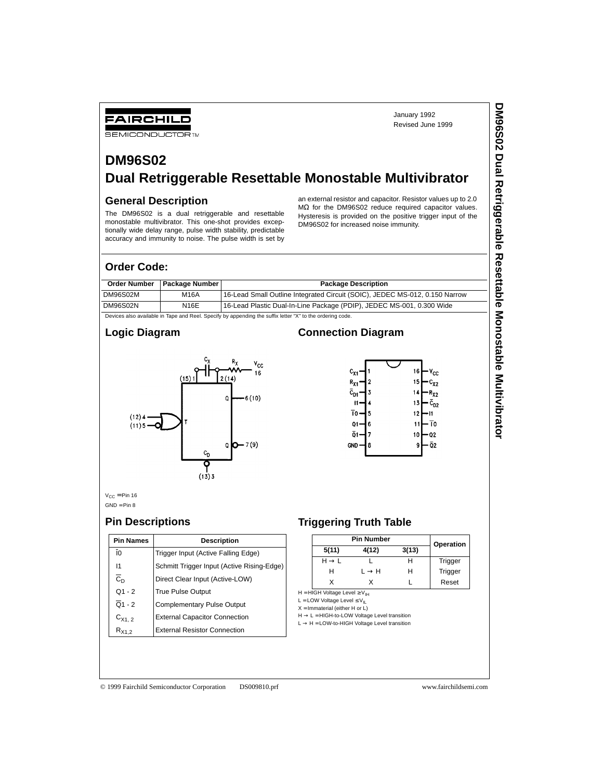January 1992 Revised June 1999

# **DM96S02 Dual Retriggerable Resettable Monostable Multivibrator**

### **General Description**

FAIRCHILD **SEMICONDUCTOR TM** 

The DM96S02 is a dual retriggerable and resettable monostable multivibrator. This one-shot provides exceptionally wide delay range, pulse width stability, predictable accuracy and immunity to noise. The pulse width is set by an external resistor and capacitor. Resistor values up to 2.0 MΩ for the DM96S02 reduce required capacitor values. Hysteresis is provided on the positive trigger input of the DM96S02 for increased noise immunity.

#### **Order Code:**

|          | Order Number   Package Number | <b>Package Description</b>                                                  |
|----------|-------------------------------|-----------------------------------------------------------------------------|
| DM96S02M | <b>M16A</b>                   | 16-Lead Small Outline Integrated Circuit (SOIC), JEDEC MS-012, 0.150 Narrow |
| DM96S02N | <b>N16E</b>                   | 16-Lead Plastic Dual-In-Line Package (PDIP), JEDEC MS-001, 0.300 Wide       |

Devices also available in Tape and Reel. Specify by appending the suffix letter "X" to the ordering code.

#### **Logic Diagram**



## **Connection Diagram**



 $V_{CC} = P$ in 16  $GND = Pin 8$ 

### **Pin Descriptions**

| <b>Pin Names</b>     | <b>Description</b>                         |
|----------------------|--------------------------------------------|
| 10                   | Trigger Input (Active Falling Edge)        |
| $\overline{11}$      | Schmitt Trigger Input (Active Rising-Edge) |
| $\overline{c}_D$     | Direct Clear Input (Active-LOW)            |
| $Q1 - 2$             | <b>True Pulse Output</b>                   |
| $\overline{Q}$ 1 - 2 | <b>Complementary Pulse Output</b>          |
| $C_{X1.2}$           | <b>External Capacitor Connection</b>       |
| $R_{X1,2}$           | <b>External Resistor Connection</b>        |

# **Triggering Truth Table**

|                   | <b>Pin Number</b> |       | Operation |
|-------------------|-------------------|-------|-----------|
| 5(11)             | 4(12)             | 3(13) |           |
| $H \rightarrow L$ |                   |       | Trigger   |
| н                 | $L \rightarrow H$ |       | Trigger   |
|                   |                   |       | Reset     |

H = HIGH Voltage Level  $\geq$  V<sub>IH</sub> L = LOW Voltage Level  $\leq$  V<sub>IL</sub>

 $X = Immaterial (either H or L)$ 

 $H \rightarrow L = HIGH-to-LOW$  Voltage Level transition

 $L \rightarrow H =$  LOW-to-HIGH Voltage Level transition

#### © 1999 Fairchild Semiconductor Corporation DS009810.prf www.fairchildsemi.com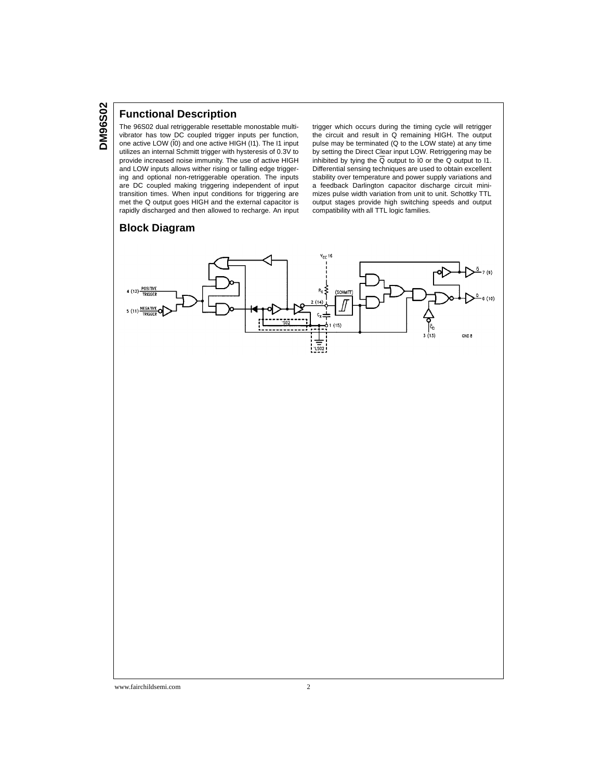#### **Functional Description**

The 96S02 dual retriggerable resettable monostable multivibrator has tow DC coupled trigger inputs per function, one active LOW (I0) and one active HIGH (I1). The I1 input utilizes an internal Schmitt trigger with hysteresis of 0.3V to provide increased noise immunity. The use of active HIGH and LOW inputs allows wither rising or falling edge triggering and optional non-retriggerable operation. The inputs are DC coupled making triggering independent of input transition times. When input conditions for triggering are met the Q output goes HIGH and the external capacitor is rapidly discharged and then allowed to recharge. An input trigger which occurs during the timing cycle will retrigger the circuit and result in Q remaining HIGH. The output pulse may be terminated (Q to the LOW state) at any time by setting the Direct Clear input LOW. Retriggering may be inhibited by tying the  $\overline{Q}$  output to I0 or the  $Q$  output to I1. Differential sensing techniques are used to obtain excellent stability over temperature and power supply variations and a feedback Darlington capacitor discharge circuit minimizes pulse width variation from unit to unit. Schottky TTL output stages provide high switching speeds and output compatibility with all TTL logic families.

#### **Block Diagram**

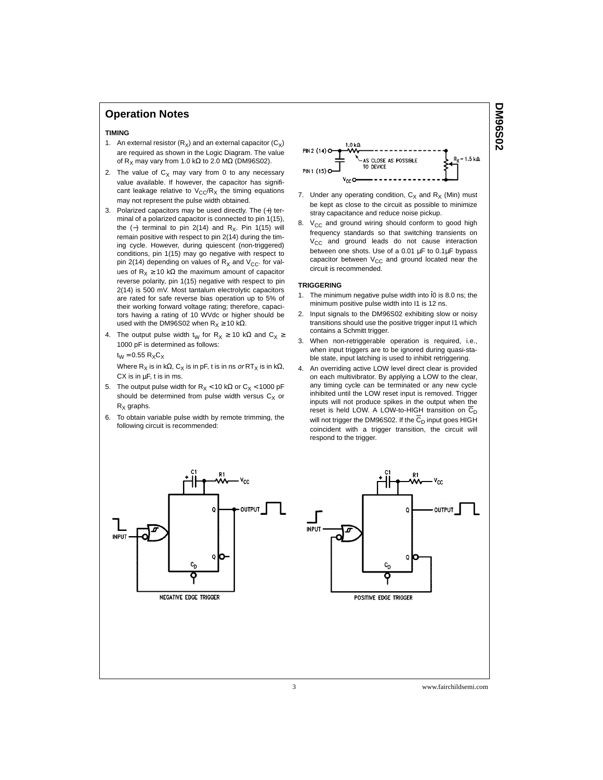#### **Operation Notes**

#### **TIMING**

- 1. An external resistor  $(R_x)$  and an external capacitor  $(C_x)$ are required as shown in the Logic Diagram. The value of R<sub>X</sub> may vary from 1.0 kΩ to 2.0 MΩ (DM96S02).
- 2. The value of  $C_X$  may vary from 0 to any necessary value available. If however, the capacitor has significant leakage relative to  $V_{CC}/R_X$  the timing equations may not represent the pulse width obtained.
- 3. Polarized capacitors may be used directly. The (+) terminal of a polarized capacitor is connected to pin 1(15), the (-) terminal to pin 2(14) and R<sub>X</sub>. Pin 1(15) will remain positive with respect to pin 2(14) during the timing cycle. However, during quiescent (non-triggered) conditions, pin 1(15) may go negative with respect to pin 2(14) depending on values of  $R_X$  and  $V_{CC}$ . for values of  $R_X \ge 10$  kΩ the maximum amount of capacitor reverse polarity, pin 1(15) negative with respect to pin 2(14) is 500 mV. Most tantalum electrolytic capacitors are rated for safe reverse bias operation up to 5% of their working forward voltage rating; therefore, capacitors having a rating of 10 WVdc or higher should be used with the DM96S02 when  $R_X \ge 10$  kΩ.
- 4. The output pulse width t<sub>W</sub> for R<sub>X</sub> ≥ 10 kΩ and C<sub>X</sub> ≥ 1000 pF is determined as follows:  $t_W = 0.55 R_XC_X$

Where R<sub>X</sub> is in kΩ, C<sub>X</sub> is in pF, t is in ns *or* RT<sub>X</sub> is in kΩ, CX is in  $\mu$ F, t is in ms.

- 5. The output pulse width for  $R_X < 10$  kΩ or  $C_X < 1000$  pF should be determined from pulse width versus  $C_X$  or  $R<sub>x</sub>$  graphs.
- 6. To obtain variable pulse width by remote trimming, the following circuit is recommended:



- 7. Under any operating condition,  $C_X$  and  $R_X$  (Min) must be kept as close to the circuit as possible to minimize stray capacitance and reduce noise pickup.
- 8.  $V_{CC}$  and ground wiring should conform to good high frequency standards so that switching transients on V<sub>CC</sub> and ground leads do not cause interaction between one shots. Use of a 0.01  $\mu$ F to 0.1 $\mu$ F bypass capacitor between  $V_{CC}$  and ground located near the circuit is recommended.

#### **TRIGGERING**

- 1. The minimum negative pulse width into I0 is 8.0 ns; the minimum positive pulse width into I1 is 12 ns.
- 2. Input signals to the DM96S02 exhibiting slow or noisy transitions should use the positive trigger input I1 which contains a Schmitt trigger.
- 3. When non-retriggerable operation is required, i.e., when input triggers are to be ignored during quasi-stable state, input latching is used to inhibit retriggering.
- 4. An overriding active LOW level direct clear is provided on each multivibrator. By applying a LOW to the clear, any timing cycle can be terminated or any new cycle inhibited until the LOW reset input is removed. Trigger inputs will not produce spikes in the output when the reset is held LOW. A LOW-to-HIGH transition on  $\overline{C}_D$ will not trigger the DM96S02. If the  $\overline{C}_D$  input goes HIGH coincident with a trigger transition, the circuit will respond to the trigger.





3 www.fairchildsemi.com

**DM96S02 20S96MC**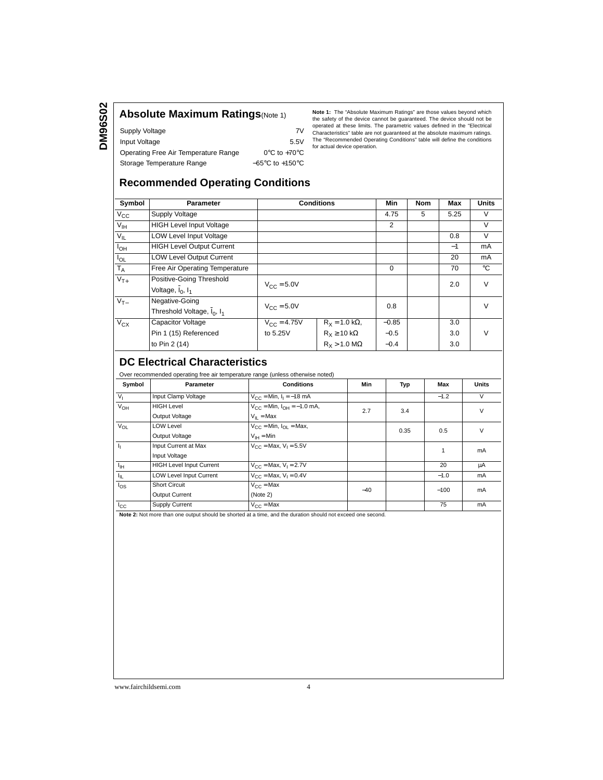**DM96S02 DM96S02**

| Supply Voltage                       | 7V                                  |
|--------------------------------------|-------------------------------------|
| Input Voltage                        | 5.5V                                |
| Operating Free Air Temperature Range | $0^{\circ}$ C to +70 $^{\circ}$ C   |
| Storage Temperature Range            | $-65^{\circ}$ C to $+150^{\circ}$ C |

**Absolute Maximum Ratings**(Note 1) Note 1: The "Absolute Maximum Ratings" are those values beyond which **Absolute Maximum Ratings** are those values beyond which the safety of the device cannot be guaranteed. The device should not be operated at these limits. The parametric values defined in the "Electrical Characteristics" table are not guaranteed at the absolute maximum ratings. The "Recommended Operating Conditions" table will define the conditions for actual device operation.

# **Recommended Operating Conditions**

| Symbol                     | <b>Parameter</b>                 |                        | <b>Conditions</b>            | Min      | <b>Nom</b> | Max  | <b>Units</b>   |
|----------------------------|----------------------------------|------------------------|------------------------------|----------|------------|------|----------------|
| $V_{\rm CC}$               | Supply Voltage                   |                        |                              | 4.75     | 5          | 5.25 | V              |
| $\overline{V_{\text{IH}}}$ | <b>HIGH Level Input Voltage</b>  |                        |                              | 2        |            |      | V              |
| $V_{IL}$                   | <b>LOW Level Input Voltage</b>   |                        |                              |          |            | 0.8  | V              |
| $I_{OH}$                   | <b>HIGH Level Output Current</b> |                        |                              |          |            | $-1$ | m <sub>A</sub> |
| $I_{OL}$                   | <b>LOW Level Output Current</b>  |                        |                              |          |            | 20   | mA             |
| $T_A$                      | Free Air Operating Temperature   |                        |                              | $\Omega$ |            | 70   | °C             |
| $V_{T+}$                   | Positive-Going Threshold         | $V_{CC} = 5.0V$        |                              |          |            | 2.0  | $\vee$         |
|                            | Voltage, $I_0$ , $I_1$           |                        |                              |          |            |      |                |
| $V_{T-}$                   | Negative-Going                   | $V_{\text{CC}} = 5.0V$ |                              | 0.8      |            |      | $\vee$         |
|                            | Threshold Voltage, $I_0$ , $I_1$ |                        |                              |          |            |      |                |
| $V_{CX}$                   | <b>Capacitor Voltage</b>         | $V_{\rm CC} = 4.75V$   | $R_x = 1.0$ kΩ,              | $-0.85$  |            | 3.0  |                |
|                            | Pin 1 (15) Referenced            | to 5.25V               | $R_X \ge 10 \text{ k}\Omega$ | $-0.5$   |            | 3.0  | v              |
|                            | to Pin 2 (14)                    |                        | $R_x > 1.0 M\Omega$          | $-0.4$   |            | 3.0  |                |

#### **DC Electrical Characteristics**

Over recommended operating free air temperature range (unless otherwise noted)

| Symbol       | <b>Parameter</b>                | <b>Conditions</b>                                              | Min   | Typ  | Max    | <b>Units</b> |
|--------------|---------------------------------|----------------------------------------------------------------|-------|------|--------|--------------|
| $V_{1}$      | Input Clamp Voltage             | $V_{\text{CC}} = \text{Min}, I_1 = -18 \text{ mA}$             |       |      | $-1.2$ | V            |
| $V_{OH}$     | <b>HIGH Level</b>               | $V_{\text{CC}} = \text{Min}, I_{\text{OH}} = -1.0 \text{ mA},$ | 2.7   | 3.4  |        | $\vee$       |
|              | Output Voltage                  | $V_{II}$ = Max                                                 |       |      |        |              |
| $V_{OL}$     | <b>LOW Level</b>                | $V_{CC}$ = Min, $I_{CI}$ = Max,                                |       | 0.35 | 0.5    | $\vee$       |
|              | Output Voltage                  | $V_{IH} = Min$                                                 |       |      |        |              |
| h,           | Input Current at Max            | $V_{C}$ = Max, $V_1$ = 5.5V                                    |       |      |        | mA           |
|              | Input Voltage                   |                                                                |       |      |        |              |
| $I_{\rm IH}$ | <b>HIGH Level Input Current</b> | $V_{CC}$ = Max, $V_1$ = 2.7V                                   |       |      | 20     | μA           |
| Ιų,          | LOW Level Input Current         | $V_{CC}$ = Max, $V_1 = 0.4V$                                   |       |      | $-1.0$ | mA           |
| $I_{OS}$     | <b>Short Circuit</b>            | $V_{C}$ = Max                                                  | $-40$ |      | $-100$ | mA           |
|              | <b>Output Current</b>           | (Note 2)                                                       |       |      |        |              |
| $I_{\rm CC}$ | Supply Current                  | $V_{CC}$ = Max                                                 |       |      | 75     | mA           |

**Note 2:** Not more than one output should be shorted at a time, and the duration should not exceed one second.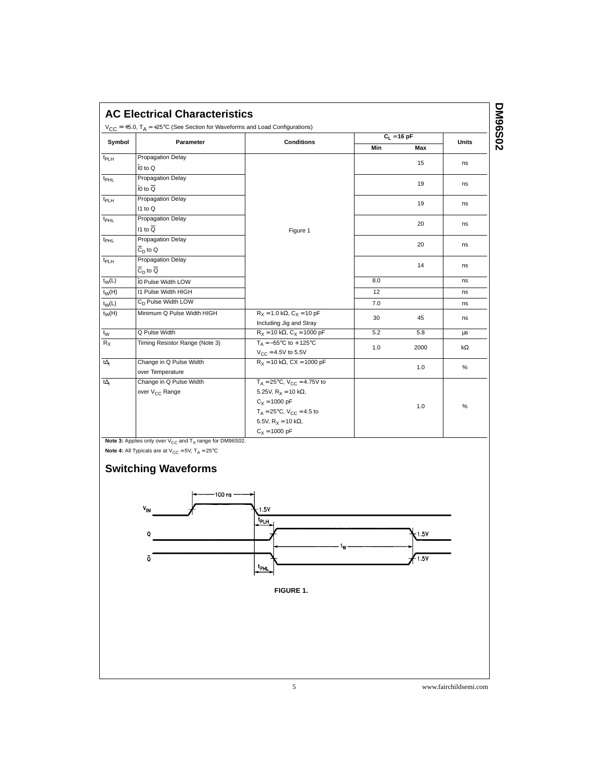| Symbol           |                                | <b>Conditions</b>                                   |     | $C_1 = 16$ pF | <b>Units</b> |
|------------------|--------------------------------|-----------------------------------------------------|-----|---------------|--------------|
|                  | Parameter                      |                                                     | Min | Max           |              |
| t <sub>PLH</sub> | Propagation Delay              |                                                     |     | 15            |              |
|                  | I0 to Q                        |                                                     |     |               | ns           |
| $t_{PHL}$        | Propagation Delay              |                                                     |     | 19            |              |
|                  | $IO$ to $Q$                    |                                                     |     |               | ns           |
| t <sub>PLH</sub> | Propagation Delay              |                                                     |     |               |              |
|                  | I1 to Q                        |                                                     |     | 19            | ns           |
| t <sub>PHL</sub> | Propagation Delay              |                                                     |     | 20            |              |
|                  | $11$ to $\overline{Q}$         | Figure 1                                            |     |               | ns           |
| t <sub>PHL</sub> | Propagation Delay              |                                                     |     | 20            |              |
|                  | $\overline{C}_D$ to Q          |                                                     |     |               | ns           |
| t <sub>PLH</sub> | Propagation Delay              |                                                     |     | 14            |              |
|                  | $C_{\text{D}}$ to Q            |                                                     |     |               | ns           |
| $t_W(L)$         | I0 Pulse Width LOW             |                                                     | 8.0 |               | ns           |
| $t_W(H)$         | <b>I1 Pulse Width HIGH</b>     |                                                     | 12  |               | ns           |
| $t_W(L)$         | C <sub>D</sub> Pulse Width LOW |                                                     | 7.0 |               | ns           |
| $t_W(H)$         | Minimum Q Pulse Width HIGH     | $R_X = 1.0 \text{ k}\Omega$ , $C_X = 10 \text{ pF}$ |     |               |              |
|                  |                                | Including Jig and Stray                             | 30  | 45            | ns           |
| $t_{W}$          | Q Pulse Width                  | $R_X = 10 k\Omega$ , $C_X = 1000 pF$                | 5.2 | 5.8           | μs           |
| $R_X$            | Timing Resistor Range (Note 3) | $T_A = -55^{\circ}C$ to + 125°C                     | 1.0 | 2000          | $k\Omega$    |
|                  |                                | $V_{C} = 4.5V$ to 5.5V                              |     |               |              |
| $t\Delta_t$      | Change in Q Pulse Width        | $R_X = 10 k\Omega$ , CX = 1000 pF                   | 1.0 |               | %            |
|                  | over Temperature               |                                                     |     |               |              |
| $t\Delta_t$      | Change in Q Pulse Width        | $T_A = 25^{\circ}C$ , $V_{CC} = 4.75V$ to           |     |               |              |
|                  | over V <sub>CC</sub> Range     | 5.25V, $R_X = 10$ k $\Omega$ ,                      |     |               |              |
|                  |                                | $C_X = 1000 pF$                                     |     | 1.0           | $\%$         |
|                  |                                | $T_A = 25^{\circ}C$ , $V_{CC} = 4.5$ to             |     |               |              |
|                  |                                | 5.5V, $R_X = 10 \text{ k}\Omega$ ,                  |     |               |              |
|                  |                                | $C_X = 1000 pF$                                     |     |               |              |

**Note 4:** All Typicals are at  $\mathsf{V}_{\mathsf{CC}} = 5\mathsf{V}$ ,  $\mathsf{T}_{\mathsf{A}} = 25^{\circ}\mathsf{C}$ 

 $\bar{\mathbf{Q}}$ 





5 www.fairchildsemi.com

 $\overline{1.5V}$ 

 $-1.5V$ 

 $t_{\rm PHL}$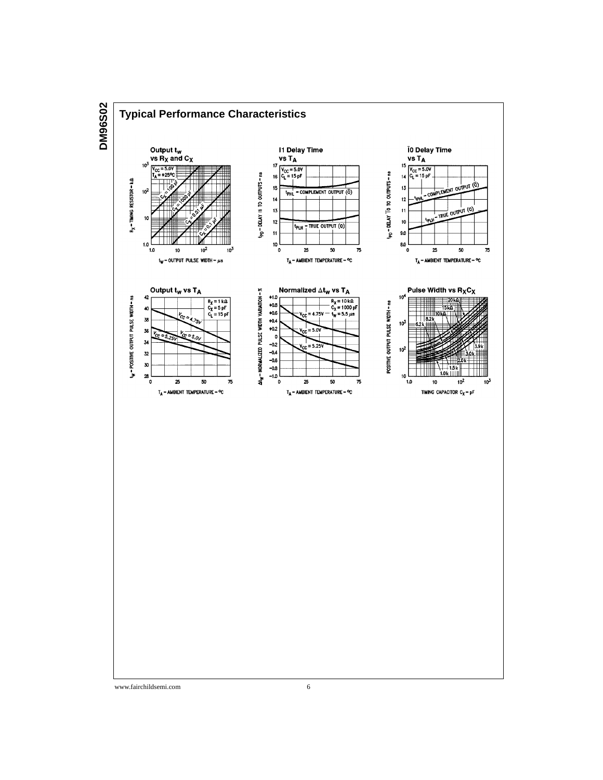